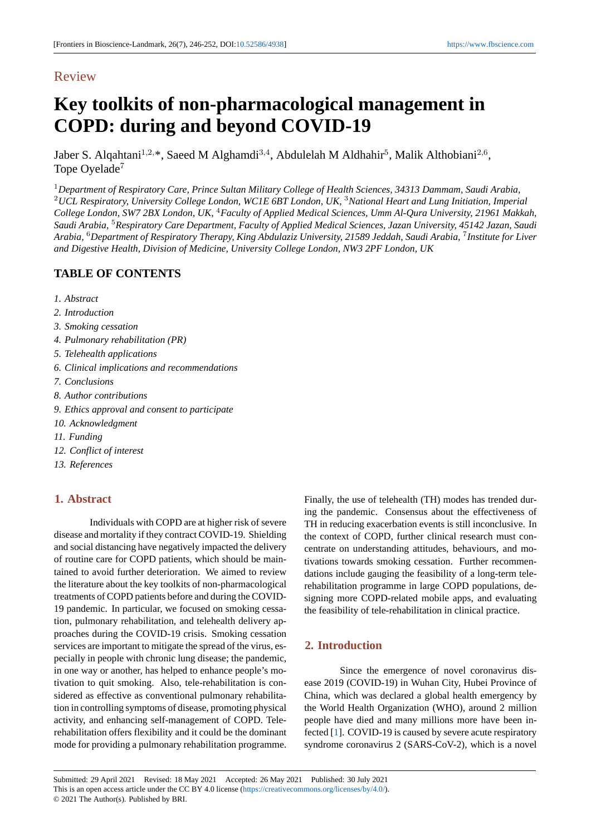# Review

# **Key toolkits of non-p[harmac](http://doi.org/10.52586/4938)ological manageme[nt in](https://www.fbscience.com) COPD: during and beyond COVID-19**

Jaber S. Alqahtani<sup>1,2,</sup>\*, Saeed M Alghamdi<sup>3,4</sup>, Abdulelah M Aldhahir<sup>5</sup>, Malik Althobiani<sup>2,6</sup>, Tope Oyelade<sup>7</sup>

<sup>1</sup>*Department of Respiratory Care, Prince Sultan Military College of Health Sciences, 34313 Dammam, Saudi Arabia,* <sup>2</sup>*UCL Respiratory, University College London, WC1E 6BT London, UK,* <sup>3</sup>*National Heart and Lung Initiation, Imperial College London, SW7 2BX London, UK,* <sup>4</sup>*Faculty of Applied Medical Sciences, Umm Al-Qura University, 21961 Makkah, Saudi Arabia,* <sup>5</sup>*Respiratory Care Department, Faculty of Applied Medical Sciences, Jazan University, 45142 Jazan, Saudi Arabia,* <sup>6</sup>*Department of Respiratory Therapy, King Abdulaziz University, 21589 Jeddah, Saudi Arabia,* <sup>7</sup> *Institute for Liver and Digestive Health, Division of Medicine, University College London, NW3 2PF London, UK*

# **TABLE OF CONTENTS**

- *1. Abstract*
- *2. Introduction*
- *3. Smoking cessation*
- *4. Pulmonary rehabilitation (PR)*
- *5. Telehealth applications*
- *6. Clinical implications and recommendations*
- *7. Conclusions*
- *8. Author contributions*
- *9. Ethics approval and consent to participate*
- *10. Acknowledgment*
- *11. Funding*
- *12. Conflict of interest*
- *13. References*

# **1. Abstract**

Individuals with COPD are at higher risk of severe disease and mortality if they contract COVID-19. Shielding and social distancing have negatively impacted the delivery of routine care for COPD patients, which should be maintained to avoid further deterioration. We aimed to review the literature about the key toolkits of non-pharmacological treatments of COPD patients before and during the COVID-19 pandemic. In particular, we focused on smoking cessation, pulmonary rehabilitation, and telehealth delivery approaches during the COVID-19 crisis. Smoking cessation services are important to mitigate the spread of the virus, especially in people with chronic lung disease; the pandemic, in one way or another, has helped to enhance people's motivation to quit smoking. Also, tele-rehabilitation is considered as effective as conventional pulmonary rehabilitation in controlling symptoms of disease, promoting physical activity, and enhancing self-management of COPD. Telerehabilitation offers flexibility and it could be the dominant mode for providing a pulmonary rehabilitation programme. Finally, the use of telehealth (TH) modes has trended during the pandemic. Consensus about the effectiveness of TH in reducing exacerbation events is still inconclusive. In the context of COPD, further clinical research must concentrate on understanding attitudes, behaviours, and motivations towards smoking cessation. Further recommendations include gauging the feasibility of a long-term telerehabilitation programme in large COPD populations, designing more COPD-related mobile apps, and evaluating the feasibility of tele-rehabilitation in clinical practice.

# **2. Introduction**

Since the emergence of novel coronavirus disease 2019 (COVID-19) in Wuhan City, Hubei Province of China, which was declared a global health emergency by the World Health Organization (WHO), around 2 million people have died and many millions more have been infected [1]. COVID-19 is caused by severe acute respiratory syndrome coronavirus 2 (SARS-CoV-2), which is a novel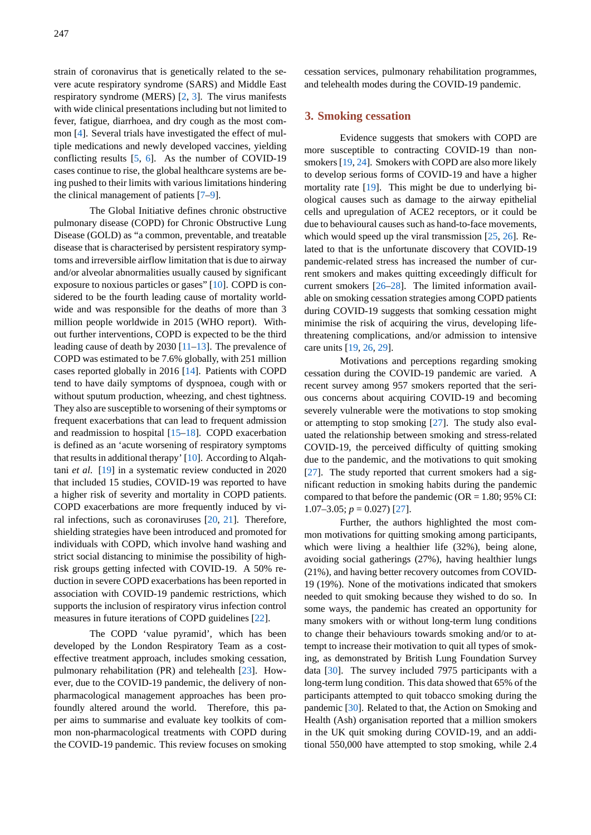strain of coronavirus that is genetically related to the severe acute respiratory syndrome (SARS) and Middle East respiratory syndrome (MERS) [2, 3]. The virus manifests with wide clinical presentations including but not limited to fever, fatigue, diarrhoea, and dry cough as the most common [4]. Several trials have investigated the effect of multiple medications and newly de[ve](#page-4-1)[lo](#page-4-2)ped vaccines, yielding conflicting results [5, 6]. As the number of COVID-19 cases continue to rise, the global healthcare systems are being p[us](#page-4-3)hed to their limits with various limitations hindering the clinical management of patients [7–9].

The Globa[l I](#page-4-4)[nit](#page-4-5)iative defines chronic obstructive pulmonary disease (COPD) for Chronic Obstructive Lung Disease (GOLD) as "a common, preventable, and treatable disease that is characterised by persis[te](#page-4-6)[nt](#page-4-7) respiratory symptoms and irreversible airflow limitation that is due to airway and/or alveolar abnormalities usually caused by significant exposure to noxious particles or gases" [10]. COPD is considered to be the fourth leading cause of mortality worldwide and was responsible for the deaths of more than 3 million people worldwide in 2015 (WHO report). Without further interventions, COPD is expe[cte](#page-4-8)d to be the third leading cause of death by 2030 [11–13]. The prevalence of COPD was estimated to be 7.6% globally, with 251 million cases reported globally in 2016 [14]. Patients with COPD tend to have daily symptoms of dyspnoea, cough with or without sputum production, wh[eez](#page-4-9)i[ng,](#page-4-10) and chest tightness. They also are susceptible to worsening of their symptoms or frequent exacerbations that canl[ead](#page-4-11) to frequent admission and readmission to hospital [15–18]. COPD exacerbation is defined as an 'acute worsening of respiratory symptoms that results in additional therapy' [10]. According to Alqahtani *et al*. [19] in a systematic review conducted in 2020 that included 15 studies, CO[VID](#page-4-12)[-19](#page-5-0) was reported to have a higher risk of severity and mortality in COPD patients. COPD exacerbations are more f[req](#page-4-8)uently induced by viral infectio[ns,](#page-5-1) such as coronaviruses [20, 21]. Therefore, shielding strategies have been introduced and promoted for individuals with COPD, which involve hand washing and strict social distancing to minimise the possibility of highrisk groups getting infected with CO[VID](#page-5-2)[-19](#page-5-3). A 50% reduction in severe COPD exacerbations has been reported in association with COVID-19 pandemic restrictions, which supports the inclusion of respiratory virus infection control measures in future iterations of COPD guidelines [22].

The COPD 'value pyramid', which has been developed by the London Respiratory Team as a costeffective treatment approach, includes smoking cessation, pulmonary rehabilitation (PR) and telehealth [23][. H](#page-5-4)owever, due to the COVID-19 pandemic, the delivery of nonpharmacological management approaches has been profoundly altered around the world. Therefore, this paper aims to summarise and evaluate key toolk[its](#page-5-5) of common non-pharmacological treatments with COPD during the COVID-19 pandemic. This review focuses on smoking cessation services, pulmonary rehabilitation programmes, and telehealth modes during the COVID-19 pandemic.

#### **3. Smoking cessation**

Evidence suggests that smokers with COPD are more susceptible to contracting COVID-19 than nonsmokers [19, 24]. Smokers with COPD are also more likely to develop serious forms of COVID-19 and have a higher mortality rate [19]. This might be due to underlying biological causes such as damage to the airway epithelial cells and [up](#page-5-1)r[eg](#page-5-6)ulation of ACE2 receptors, or it could be due to behavioural causes such as hand-to-face movements, which would s[peed](#page-5-1) up the viral transmission [25, 26]. Related to that is the unfortunate discovery that COVID-19 pandemic-related stress has increased the number of current smokers and makes quitting exceedingly difficult for current smokers [26–28]. The limited infor[mati](#page-5-7)[on](#page-5-8) available on smoking cessation strategies among COPD patients during COVID-19 suggests that somking cessation might minimise the risk of acquiring the virus, developing lifethreatening comp[lica](#page-5-8)[tion](#page-5-9)s, and/or admission to intensive care units [19, 26, 29].

Motivations and perceptions regarding smoking cessation during the COVID-19 pandemic are varied. A recent survey among 957 smokers reported that the serious conce[rns](#page-5-1) [abo](#page-5-8)[ut](#page-5-10) acquiring COVID-19 and becoming severely vulnerable were the motivations to stop smoking or attempting to stop smoking [27]. The study also evaluated the relationship between smoking and stress-related COVID-19, the perceived difficulty of quitting smoking due to the pandemic, and the motivations to quit smoking [27].The study reported that c[urr](#page-5-11)ent smokers had a significant reduction in smoking habits during the pandemic compared to that before the pandemic ( $OR = 1.80$ ; 95% CI: 1.07–3.05;  $p = 0.027$  [27].

Further, the authors highlighted the most common motivations for quitting smoking among participants, which were living a healthier life (32%), being alone, avoiding social gather[ing](#page-5-11)s (27%), having healthier lungs (21%), and having better recovery outcomes from COVID-19 (19%). None of the motivations indicated that smokers needed to quit smoking because they wished to do so. In some ways, the pandemic has created an opportunity for many smokers with or without long-term lung conditions to change their behaviours towards smoking and/or to attempt to increase their motivation to quit all types of smoking, as demonstrated by British Lung Foundation Survey data [30]. The survey included 7975 participants with a long-term lung condition. This data showed that 65% of the participants attempted to quit tobacco smoking during the pandemic [30]. Related to that, the Action on Smoking and Healt[h \(A](#page-5-12)sh) organisation reported that a million smokers in the UK quit smoking during COVID-19, and an additional 550,000 have attempted to stop smoking, while 2.4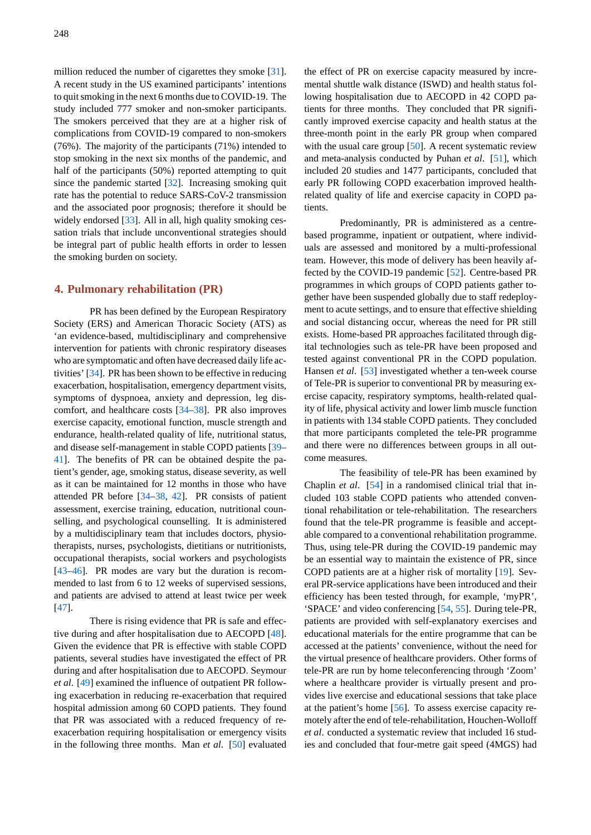million reduced the number of cigarettes they smoke [31]. A recent study in the US examined participants' intentions to quit smoking in the next 6 months due to COVID-19. The study included 777 smoker and non-smoker participants. The smokers perceived that they are at a higher ris[k o](#page-5-13)f complications from COVID-19 compared to non-smokers (76%). The majority of the participants (71%) intended to stop smoking in the next six months of the pandemic, and half of the participants (50%) reported attempting to quit since the pandemic started [32]. Increasing smoking quit rate has the potential to reduce SARS-CoV-2 transmission and the associated poor prognosis; therefore it should be widely endorsed [33]. All in all, high quality smoking cessation trials that include un[con](#page-5-14)ventional strategies should be integral part of public health efforts in order to lessen the smoking burden on society.

### **4. Pulmonary rehabilitation (PR)**

PR has been defined by the European Respiratory Society (ERS) and American Thoracic Society (ATS) as 'an evidence-based, multidisciplinary and comprehensive intervention for patients with chronic respiratory diseases who are symptomatic and often have decreased daily life activities' [34]. PR has been shown to be effective in reducing exacerbation, hospitalisation, emergency department visits, symptoms of dyspnoea, anxiety and depression, leg discomfort, and healthcare costs [34–38]. PR also improves exercise [cap](#page-5-15)acity, emotional function, muscle strength and endurance, health-related quality of life, nutritional status, and disease self-management in stable COPD patients [39– 41]. The benefits of PR can [be](#page-5-15) [obta](#page-5-16)ined despite the patient's gender, age, smoking status, disease severity, as well as it can be maintained for 12 months in those who have attended PR before [34–38, 42]. PR consists of pat[ien](#page-5-17)t [ass](#page-5-18)essment, exercise training, education, nutritional counselling, and psychological counselling. It is administered by a multidisciplinary team that includes doctors, physiotherapists, nurses, ps[ych](#page-5-15)[olog](#page-5-16)i[sts,](#page-5-19) dietitians or nutritionists, occupational therapists, social workers and psychologists [43–46]. PR modes are vary but the duration is recommended to last from 6 to 12 weeks of supervised sessions, and patients are advised to attend at least twice per week [47].

There is rising evidence that PR is safe and effective during and after hospitalisation due to AECOPD [48]. Given the evidence that PR is effective with stable COPD [pati](#page-5-20)ents, several studies have investigated the effect of PR during and after hospitalisation due to AECOPD. Seymour *et al*. [49] examined the influence of outpatient PR fol[low](#page-5-21)ing exacerbation in reducing re-exacerbation that required hospital admission among 60 COPD patients. They found that PR was associated with a reduced frequency of reexacer[bat](#page-5-22)ion requiring hospitalisation or emergency visits in the following three months. Man *et al*. [50] evaluated the effect of PR on exercise capacity measured by incremental shuttle walk distance (ISWD) and health status following hospitalisation due to AECOPD in 42 COPD patients for three months. They concluded that PR significantly improved exercise capacity and health status at the three-month point in the early PR group when compared with the usual care group  $[50]$ . A recent systematic review and meta-analysis conducted by Puhan *et al*. [51], which included 20 studies and 1477 participants, concluded that early PR following COPD exacerbation improved healthrelated quality of life and [ex](#page-5-23)ercise capacity in COPD patients.

Predominantly, PR is administered as a centrebased programme, inpatient or outpatient, where individuals are assessed and monitored by a multi-professional team. However, this mode of delivery has been heavily affected by the COVID-19 pandemic [52]. Centre-based PR programmes in which groups of COPD patients gather together have been suspended globally due to staff redeployment to acute settings, and to ensure that effective shielding and social distancing occur, wherea[s th](#page-5-24)e need for PR still exists. Home-based PR approaches facilitated through digital technologies such as tele-PR have been proposed and tested against conventional PR in the COPD population. Hansen *et al*. [53] investigated whether a ten-week course of Tele-PR is superior to conventional PR by measuring exercise capacity, respiratory symptoms, health-related quality of life, physical activity and lower limb muscle function in patients wit[h 13](#page-6-0)4 stable COPD patients. They concluded that more participants completed the tele-PR programme and there were no differences between groups in all outcome measures.

The feasibility of tele-PR has been examined by Chaplin *et al*. [54] in a randomised clinical trial that included 103 stable COPD patients who attended conventional rehabilitation or tele-rehabilitation. The researchers found that the tele-PR programme is feasible and acceptable compared t[o a](#page-6-1) conventional rehabilitation programme. Thus, using tele-PR during the COVID-19 pandemic may be an essential way to maintain the existence of PR, since COPD patients are at a higher risk of mortality [19]. Several PR-service applications have been introduced and their efficiency has been tested through, for example, 'myPR', 'SPACE' and video conferencing [54, 55]. During tele-PR, patients are provided with self-explanatory exe[rcis](#page-5-1)es and educational materials for the entire programme that can be accessed at the patients' convenience, without the need for the virtual presence of healthcare [prov](#page-6-1)[ide](#page-6-2)rs. Other forms of tele-PR are run by home teleconferencing through 'Zoom' where a healthcare provider is virtually present and provides live exercise and educational sessions that take place at the patient's home [56]. To assess exercise capacity remotely after the end of tele-rehabilitation, Houchen-Wolloff *et al*. conducted a systematic review that included 16 studies and concluded that four-metre gait speed (4MGS) had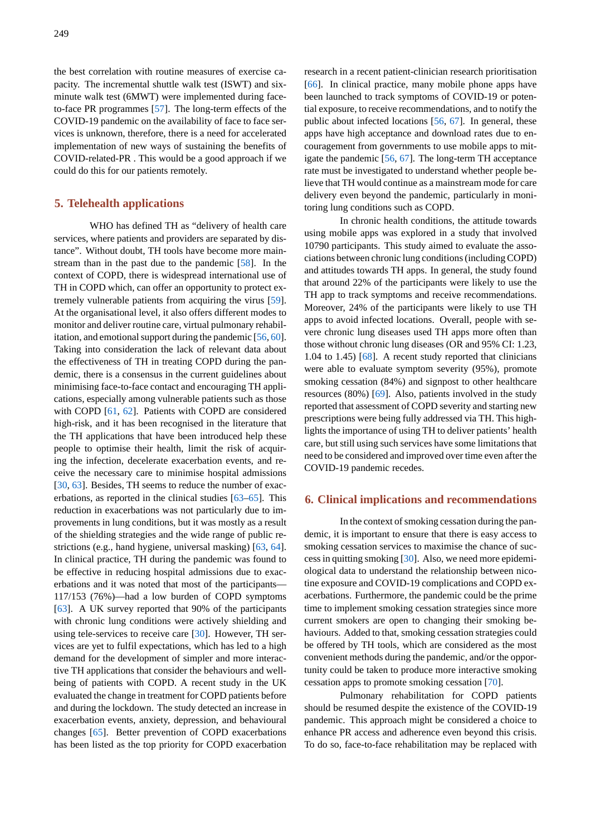the best correlation with routine measures of exercise capacity. The incremental shuttle walk test (ISWT) and sixminute walk test (6MWT) were implemented during faceto-face PR programmes [57]. The long-term effects of the COVID-19 pandemic on the availability of face to face services is unknown, therefore, there is a need for accelerated implementation of new ways of sustaining the benefits of COVID-related-PR . Thi[s w](#page-6-3)ould be a good approach if we could do this for our patients remotely.

## **5. Telehealth applications**

WHO has defined TH as "delivery of health care services, where patients and providers are separated by distance". Without doubt, TH tools have become more mainstream than in the past due to the pandemic [58]. In the context of COPD, there is widespread international use of TH in COPD which, can offer an opportunity to protect extremely vulnerable patients from acquiring the virus [59]. At the organisational level, it also offers differ[ent](#page-6-4) modes to monitor and deliver routine care, virtual pulmonary rehabilitation, and emotional support during the pandemic [56, 60]. Taking into consideration the lack of relevant data a[bou](#page-6-5)t the effectiveness of TH in treating COPD during the pandemic, there is a consensus in the current guidelines about minimising face-to-face contact and encouraging T[H a](#page-6-6)[ppli](#page-6-7)cations, especially among vulnerable patients such as those with COPD [61, 62]. Patients with COPD are considered high-risk, and it has been recognised in the literature that the TH applications that have been introduced help these people to optimise their health, limit the risk of acquiring the infec[tion](#page-6-8)[, de](#page-6-9)celerate exacerbation events, and receive the necessary care to minimise hospital admissions [30, 63]. Besides, TH seems to reduce the number of exacerbations, as reported in the clinical studies [63–65]. This reduction in exacerbations was not particularly due to improvements in lung conditions, but it was mostly as a result [of t](#page-5-12)[he s](#page-6-10)hielding strategies and the wide range of public restrictions (e.g., hand hygiene, universal mask[ing](#page-6-10)[\) \[6](#page-6-11)3, 64]. In clinical practice, TH during the pandemic was found to be effective in reducing hospital admissions due to exacerbations and it was noted that most of the participants— 117/153 (76%)—had a low burden of COPD sy[mp](#page-6-10)t[om](#page-6-12)s [63]. A UK survey reported that 90% of the participants with chronic lung conditions were actively shielding and using tele-services to receive care [30]. However, TH services are yet to fulfil expectations, which has led to a high [dem](#page-6-10)and for the development of simpler and more interactive TH applications that consider the behaviours and wellbeing of patients with COPD. A [rece](#page-5-12)nt study in the UK evaluated the change in treatment for COPD patients before and during the lockdown. The study detected an increase in exacerbation events, anxiety, depression, and behavioural changes [65]. Better prevention of COPD exacerbations has been listed as the top priority for COPD exacerbation research in a recent patient-clinician research prioritisation [66]. In clinical practice, many mobile phone apps have been launched to track symptoms of COVID-19 or potential exposure, to receive recommendations, and to notify the public about infected locations [56, 67]. In general, these [app](#page-6-13)s have high acceptance and download rates due to encouragement from governments to use mobile apps to mitigate the pandemic [56, 67]. The long-term TH acceptance rate must be investigated to und[erst](#page-6-6)a[nd](#page-6-14) whether people believe that TH would continue as a mainstream mode for care delivery even beyond the pandemic, particularly in monitoring lung conditio[ns s](#page-6-6)[uch](#page-6-14) as COPD.

In chronic health conditions, the attitude towards using mobile apps was explored in a study that involved 10790 participants. This study aimed to evaluate the associations between chronic lung conditions (including COPD) and attitudes towards TH apps. In general, the study found that around 22% of the participants were likely to use the TH app to track symptoms and receive recommendations. Moreover, 24% of the participants were likely to use TH apps to avoid infected locations. Overall, people with severe chronic lung diseases used TH apps more often than those without chronic lung diseases (OR and 95% CI: 1.23, 1.04 to 1.45) [68]. A recent study reported that clinicians were able to evaluate symptom severity (95%), promote smoking cessation (84%) and signpost to other healthcare resources (80%) [69]. Also, patients involved in the study reported that a[sses](#page-6-15)sment of COPD severity and starting new prescriptions were being fully addressed via TH. This highlights the importance of using TH to deliver patients' health care, but still usin[g su](#page-6-16)ch services have some limitations that need to be considered and improved over time even after the COVID-19 pandemic recedes.

#### **6. Clinical implications and recommendations**

In the context of smoking cessation during the pandemic, it is important to ensure that there is easy access to smoking cessation services to maximise the chance of success in quitting smoking [30]. Also, we need more epidemiological data to understand the relationship between nicotine exposure and COVID-19 complications and COPD exacerbations. Furthermore, the pandemic could be the prime time to implement smoki[ng](#page-5-12) cessation strategies since more current smokers are open to changing their smoking behaviours. Added to that, smoking cessation strategies could be offered by TH tools, which are considered as the most convenient methods during the pandemic, and/or the opportunity could be taken to produce more interactive smoking cessation apps to promote smoking cessation [70].

Pulmonary rehabilitation for COPD patients should be resumed despite the existence of the COVID-19 pandemic. This approach might be considered a choice to enhance PR access and adherence even beyo[nd t](#page-6-17)his crisis. To do so, face-to-face rehabilitation may be replaced with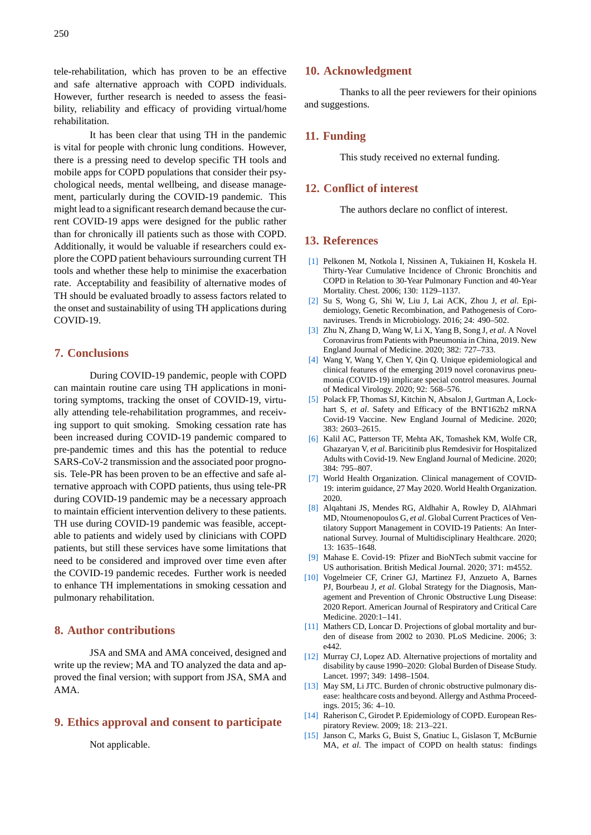tele-rehabilitation, which has proven to be an effective and safe alternative approach with COPD individuals. However, further research is needed to assess the feasibility, reliability and efficacy of providing virtual/home rehabilitation.

It has been clear that using TH in the pandemic is vital for people with chronic lung conditions. However, there is a pressing need to develop specific TH tools and mobile apps for COPD populations that consider their psychological needs, mental wellbeing, and disease management, particularly during the COVID-19 pandemic. This might lead to a significant research demand because the current COVID-19 apps were designed for the public rather than for chronically ill patients such as those with COPD. Additionally, it would be valuable if researchers could explore the COPD patient behaviours surrounding current TH tools and whether these help to minimise the exacerbation rate. Acceptability and feasibility of alternative modes of TH should be evaluated broadly to assess factors related to the onset and sustainability of using TH applications during COVID-19.

#### **7. Conclusions**

During COVID-19 pandemic, people with COPD can maintain routine care using TH applications in monitoring symptoms, tracking the onset of COVID-19, virtually attending tele-rehabilitation programmes, and receiving support to quit smoking. Smoking cessation rate has been increased during COVID-19 pandemic compared to pre-pandemic times and this has the potential to reduce SARS-CoV-2 transmission and the associated poor prognosis. Tele-PR has been proven to be an effective and safe alternative approach with COPD patients, thus using tele-PR during COVID-19 pandemic may be a necessary approach to maintain efficient intervention delivery to these patients. TH use during COVID-19 pandemic was feasible, acceptable to patients and widely used by clinicians with COPD patients, but still these services have some limitations that need to be considered and improved over time even after the COVID-19 pandemic recedes. Further work is needed to enhance TH implementations in smoking cessation and pulmonary rehabilitation.

## **8. Author contributions**

JSA and SMA and AMA conceived, designed and write up the review; MA and TO analyzed the data and approved the final version; with support from JSA, SMA and AMA.

## **9. Ethics approval and consent to participate**

Not applicable.

#### **10. Acknowledgment**

Thanks to all the peer reviewers for their opinions and suggestions.

## **11. Funding**

This study received no external funding.

### **12. Conflict of interest**

The authors declare no conflict of interest.

# **13. References**

- [1] Pelkonen M, Notkola I, Nissinen A, Tukiainen H, Koskela H. Thirty-Year Cumulative Incidence of Chronic Bronchitis and COPD in Relation to 30-Year Pulmonary Function and 40-Year Mortality. Chest. 2006; 130: 1129–1137.
- <span id="page-4-0"></span>[2] Su S, Wong G, Shi W, Liu J, Lai ACK, Zhou J, *et al*. Epidemiology, Genetic Recombination, and Pathogenesis of Coronaviruses. Trends in Microbiology. 2016; 24: 490–502.
- [3] Zhu N, Zhang D, Wang W, Li X, Yang B, Song J, *et al*. A Novel Coronavirus from Patients with Pneumonia in China, 2019. New England Journal of Medicine. 2020; 382: 727–733.
- <span id="page-4-2"></span><span id="page-4-1"></span>[4] Wang Y, Wang Y, Chen Y, Qin Q. Unique epidemiological and clinical features of the emerging 2019 novel coronavirus pneumonia (COVID-19) implicate special control measures. Journal of Medical Virology. 2020; 92: 568–576.
- <span id="page-4-3"></span>[5] Polack FP, Thomas SJ, Kitchin N, Absalon J, Gurtman A, Lockhart S, *et al*. Safety and Efficacy of the BNT162b2 mRNA Covid-19 Vaccine. New England Journal of Medicine. 2020; 383: 2603–2615.
- <span id="page-4-4"></span>[6] Kalil AC, Patterson TF, Mehta AK, Tomashek KM, Wolfe CR, Ghazaryan V, *et al*. Baricitinib plus Remdesivir for Hospitalized Adults with Covid-19. New England Journal of Medicine. 2020; 384: 795–807.
- <span id="page-4-5"></span>[7] World Health Organization. Clinical management of COVID-19: interim guidance, 27 May 2020. World Health Organization. 2020.
- <span id="page-4-6"></span>[8] Alqahtani JS, Mendes RG, Aldhahir A, Rowley D, AlAhmari MD, Ntoumenopoulos G, *et al*. Global Current Practices of Ventilatory Support Management in COVID-19 Patients: An International Survey. Journal of Multidisciplinary Healthcare. 2020; 13: 1635–1648.
- [9] Mahase E. Covid-19: Pfizer and BioNTech submit vaccine for US authorisation. British Medical Journal. 2020; 371: m4552.
- [10] Vogelmeier CF, Criner GJ, Martinez FJ, Anzueto A, Barnes PJ, Bourbeau J, *et al*. Global Strategy for the Diagnosis, Management and Prevention of Chronic Obstructive Lung Disease: 2020 Report. American Journal of Respiratory and Critical Care Medicine. 2020:1–141.
- <span id="page-4-8"></span><span id="page-4-7"></span>[11] Mathers CD, Loncar D. Projections of global mortality and burden of disease from 2002 to 2030. PLoS Medicine. 2006; 3: e442.
- [12] Murray CJ, Lopez AD. Alternative projections of mortality and disability by cause 1990–2020: Global Burden of Disease Study. Lancet. 1997; 349: 1498–1504.
- <span id="page-4-9"></span>[13] May SM, Li JTC. Burden of chronic obstructive pulmonary disease: healthcare costs and beyond. Allergy and Asthma Proceedings. 2015; 36: 4–10.
- [14] Raherison C, Girodet P. Epidemiology of COPD. European Respiratory Review. 2009; 18: 213–221.
- <span id="page-4-12"></span><span id="page-4-11"></span><span id="page-4-10"></span>[15] Janson C, Marks G, Buist S, Gnatiuc L, Gislason T, McBurnie MA, *et al*. The impact of COPD on health status: findings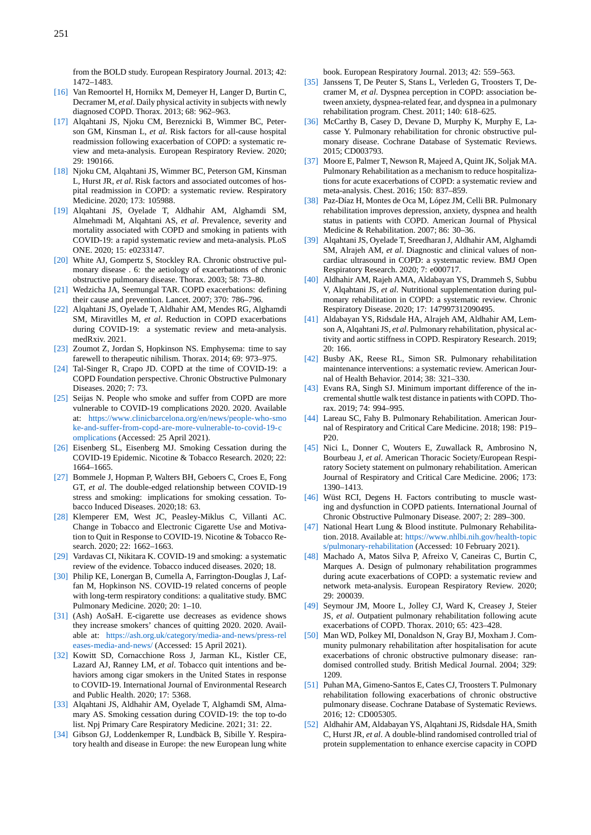from the BOLD study. European Respiratory Journal. 2013; 42: 1472–1483.

- [16] Van Remoortel H, Hornikx M, Demeyer H, Langer D, Burtin C, Decramer M, *et al*. Daily physical activity in subjects with newly diagnosed COPD. Thorax. 2013; 68: 962–963.
- [17] Alqahtani JS, Njoku CM, Bereznicki B, Wimmer BC, Peterson GM, Kinsman L, *et al*. Risk factors for all-cause hospital readmission following exacerbation of COPD: a systematic review and meta-analysis. European Respiratory Review. 2020; 29: 190166.
- [18] Njoku CM, Alqahtani JS, Wimmer BC, Peterson GM, Kinsman L, Hurst JR, *et al*. Risk factors and associated outcomes of hospital readmission in COPD: a systematic review. Respiratory Medicine. 2020; 173: 105988.
- <span id="page-5-0"></span>[19] Alqahtani JS, Oyelade T, Aldhahir AM, Alghamdi SM, Almehmadi M, Alqahtani AS, *et al*. Prevalence, severity and mortality associated with COPD and smoking in patients with COVID-19: a rapid systematic review and meta-analysis. PLoS ONE. 2020; 15: e0233147.
- <span id="page-5-1"></span>[20] White AJ, Gompertz S, Stockley RA. Chronic obstructive pulmonary disease . 6: the aetiology of exacerbations of chronic obstructive pulmonary disease. Thorax. 2003; 58: 73–80.
- [21] Wedzicha JA, Seemungal TAR. COPD exacerbations: defining their cause and prevention. Lancet. 2007; 370: 786–796.
- <span id="page-5-2"></span>[22] Alqahtani JS, Oyelade T, Aldhahir AM, Mendes RG, Alghamdi SM, Miravitlles M, *et al*. Reduction in COPD exacerbations during COVID-19: a systematic review and meta-analysis. medRxiv. 2021.
- <span id="page-5-4"></span><span id="page-5-3"></span>[23] Zoumot Z, Jordan S, Hopkinson NS. Emphysema: time to say farewell to therapeutic nihilism. Thorax. 2014; 69: 973–975.
- [24] Tal-Singer R, Crapo JD. COPD at the time of COVID-19: a COPD Foundation perspective. Chronic Obstructive Pulmonary Diseases. 2020; 7: 73.
- <span id="page-5-6"></span><span id="page-5-5"></span>[25] Seijas N. People who smoke and suffer from COPD are more vulnerable to COVID-19 complications 2020. 2020. Available at: https://www.clinicbarcelona.org/en/news/people-who-smo ke-and-suffer-from-copd-are-more-vulnerable-to-covid-19-c omplications (Accessed: 25 April 2021).
- <span id="page-5-7"></span>[26] Eisenberg SL, Eisenberg MJ. Smoking Cessation during the COVID-19 Epidemic. Nicotine & Tobacco Research. 2020; 22: 166[4–1665.](https://www.clinicbarcelona.org/en/news/people-who-smoke-and-suffer-from-copd-are-more-vulnerable-to-covid-19-complications)
- <span id="page-5-8"></span>[27] [Bommele J, Hopman P, Walters BH, Geboers C, Croes E, Fon](https://www.clinicbarcelona.org/en/news/people-who-smoke-and-suffer-from-copd-are-more-vulnerable-to-covid-19-complications)g GT, *[et al](https://www.clinicbarcelona.org/en/news/people-who-smoke-and-suffer-from-copd-are-more-vulnerable-to-covid-19-complications)*. The double-edged relationship between COVID-19 stress and smoking: implications for smoking cessation. Tobacco Induced Diseases. 2020;18: 63.
- <span id="page-5-11"></span>[28] Klemperer EM, West JC, Peasley-Miklus C, Villanti AC. Change in Tobacco and Electronic Cigarette Use and Motivation to Quit in Response to COVID-19. Nicotine & Tobacco Research. 2020; 22: 1662–1663.
- <span id="page-5-9"></span>[29] Vardavas CI, Nikitara K. COVID-19 and smoking: a systematic review of the evidence. Tobacco induced diseases. 2020; 18.
- [30] Philip KE, Lonergan B, Cumella A, Farrington-Douglas J, Laffan M, Hopkinson NS. COVID-19 related concerns of people with long-term respiratory conditions: a qualitative study. BMC Pulmonary Medicine. 2020; 20: 1–10.
- <span id="page-5-12"></span><span id="page-5-10"></span>[31] (Ash) AoSaH. E-cigarette use decreases as evidence shows they increase smokers' chances of quitting 2020. 2020. Available at: https://ash.org.uk/category/media-and-news/press-rel eases-media-and-news/ (Accessed: 15 April 2021).
- <span id="page-5-13"></span>[32] Kowitt SD, Cornacchione Ross J, Jarman KL, Kistler CE, Lazard AJ, Ranney LM, *et al*. Tobacco quit intentions and behaviors among cigar smokers in the United States in response to COVI[D-19. International Journal of Environmental Research](https://ash.org.uk/category/media-and-news/press-releases-media-and-news/) [and Public Health. 2020](https://ash.org.uk/category/media-and-news/press-releases-media-and-news/); 17: 5368.
- <span id="page-5-14"></span>[33] Alqahtani JS, Aldhahir AM, Oyelade T, Alghamdi SM, Almamary AS. Smoking cessation during COVID-19: the top to-do list. Npj Primary Care Respiratory Medicine. 2021; 31: 22.
- <span id="page-5-15"></span>[34] Gibson GJ, Loddenkemper R, Lundbäck B, Sibille Y. Respiratory health and disease in Europe: the new European lung white

book. European Respiratory Journal. 2013; 42: 559–563.

- [35] Janssens T, De Peuter S, Stans L, Verleden G, Troosters T, Decramer M, *et al*. Dyspnea perception in COPD: association between anxiety, dyspnea-related fear, and dyspnea in a pulmonary rehabilitation program. Chest. 2011; 140: 618–625.
- [36] McCarthy B, Casey D, Devane D, Murphy K, Murphy E, Lacasse Y. Pulmonary rehabilitation for chronic obstructive pulmonary disease. Cochrane Database of Systematic Reviews. 2015; CD003793.
- [37] Moore E, Palmer T, Newson R, Majeed A, Quint JK, Soljak MA. Pulmonary Rehabilitation as a mechanism to reduce hospitalizations for acute exacerbations of COPD: a systematic review and meta-analysis. Chest. 2016; 150: 837–859.
- Paz-Díaz H, Montes de Oca M, López JM, Celli BR. Pulmonary rehabilitation improves depression, anxiety, dyspnea and health status in patients with COPD. American Journal of Physical Medicine & Rehabilitation. 2007; 86: 30–36.
- <span id="page-5-16"></span>[39] Alqahtani JS, Oyelade T, Sreedharan J, Aldhahir AM, Alghamdi SM, Alrajeh AM, *et al*. Diagnostic and clinical values of noncardiac ultrasound in COPD: a systematic review. BMJ Open Respiratory Research. 2020; 7: e000717.
- <span id="page-5-17"></span>[40] Aldhahir AM, Rajeh AMA, Aldabayan YS, Drammeh S, Subbu V, Alqahtani JS, *et al*. Nutritional supplementation during pulmonary rehabilitation in COPD: a systematic review. Chronic Respiratory Disease. 2020; 17: 147997312090495.
- [41] Aldabayan YS, Ridsdale HA, Alrajeh AM, Aldhahir AM, Lemson A, Alqahtani JS, *et al*. Pulmonary rehabilitation, physical activity and aortic stiffness in COPD. Respiratory Research. 2019; 20: 166.
- <span id="page-5-18"></span>[42] Busby AK, Reese RL, Simon SR. Pulmonary rehabilitation maintenance interventions: a systematic review. American Journal of Health Behavior. 2014; 38: 321–330.
- [43] Evans RA, Singh SJ. Minimum important difference of the incremental shuttle walk test distance in patients with COPD. Thorax. 2019; 74: 994–995.
- <span id="page-5-19"></span>[44] Lareau SC, Fahy B. Pulmonary Rehabilitation. American Journal of Respiratory and Critical Care Medicine. 2018; 198: P19– P20.
- [45] Nici L, Donner C, Wouters E, Zuwallack R, Ambrosino N, Bourbeau J, *et al*. American Thoracic Society/European Respiratory Society statement on pulmonary rehabilitation. American Journal of Respiratory and Critical Care Medicine. 2006; 173: 1390–1413.
- [46] Wüst RCI, Degens H. Factors contributing to muscle wasting and dysfunction in COPD patients. International Journal of Chronic Obstructive Pulmonary Disease. 2007; 2: 289–300.
- [47] National Heart Lung & Blood institute. Pulmonary Rehabilitation. 2018. Available at: https://www.nhlbi.nih.gov/health-topic s/pulmonary-rehabilitation (Accessed: 10 February 2021).
- <span id="page-5-20"></span>[48] Machado A, Matos Silva P, Afreixo V, Caneiras C, Burtin C, Marques A. Design of pulmonary rehabilitation programmes during acute exacerbations of COPD: a systematic review and network meta-analysis. [European Respiratory Review. 2020;](https://www.nhlbi.nih.gov/health-topics/pulmonary-rehabilitation) [29: 200039.](https://www.nhlbi.nih.gov/health-topics/pulmonary-rehabilitation)
- <span id="page-5-21"></span>[49] Seymour JM, Moore L, Jolley CJ, Ward K, Creasey J, Steier JS, *et al*. Outpatient pulmonary rehabilitation following acute exacerbations of COPD. Thorax. 2010; 65: 423–428.
- <span id="page-5-22"></span>[50] Man WD, Polkey MI, Donaldson N, Gray BJ, Moxham J. Community pulmonary rehabilitation after hospitalisation for acute exacerbations of chronic obstructive pulmonary disease: randomised controlled study. British Medical Journal. 2004; 329: 1209.
- <span id="page-5-23"></span>[51] Puhan MA, Gimeno-Santos E, Cates CJ, Troosters T. Pulmonary rehabilitation following exacerbations of chronic obstructive pulmonary disease. Cochrane Database of Systematic Reviews. 2016; 12: CD005305.
- <span id="page-5-24"></span>[52] Aldhahir AM, Aldabayan YS, Alqahtani JS, Ridsdale HA, Smith C, Hurst JR, *et al*. A double-blind randomised controlled trial of protein supplementation to enhance exercise capacity in COPD